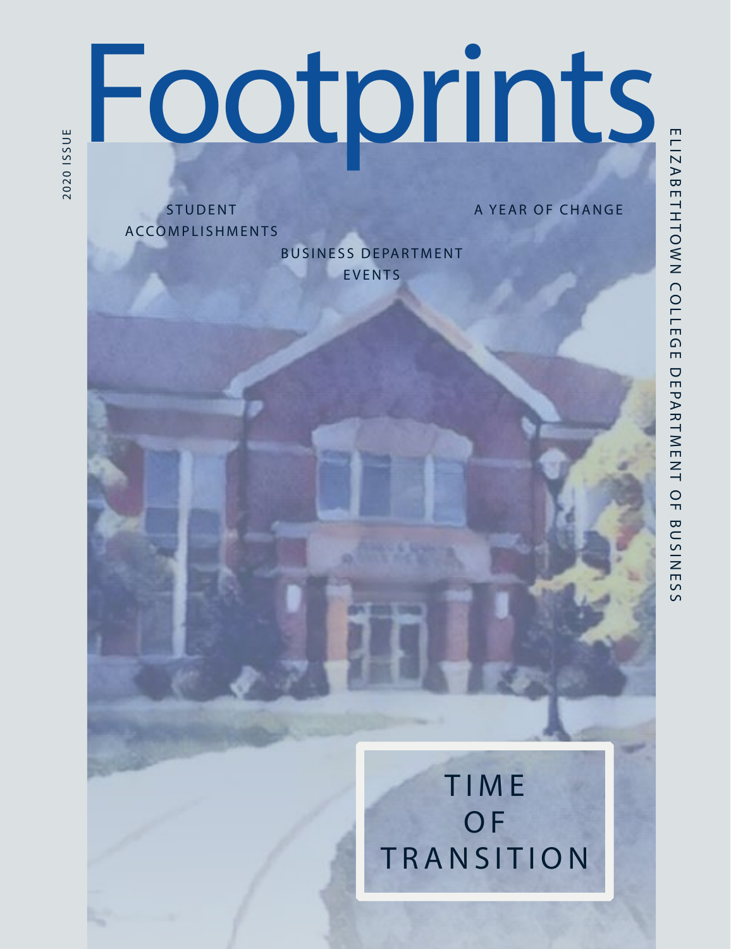# Footprints

A YEAR OF CHANGE

**STUDENT** ACCOMPLISHMENTS

**BUSINESS DEPARTMENT** EVENTS

 $\bar{S}$ 

**TIME** OF TRANSITION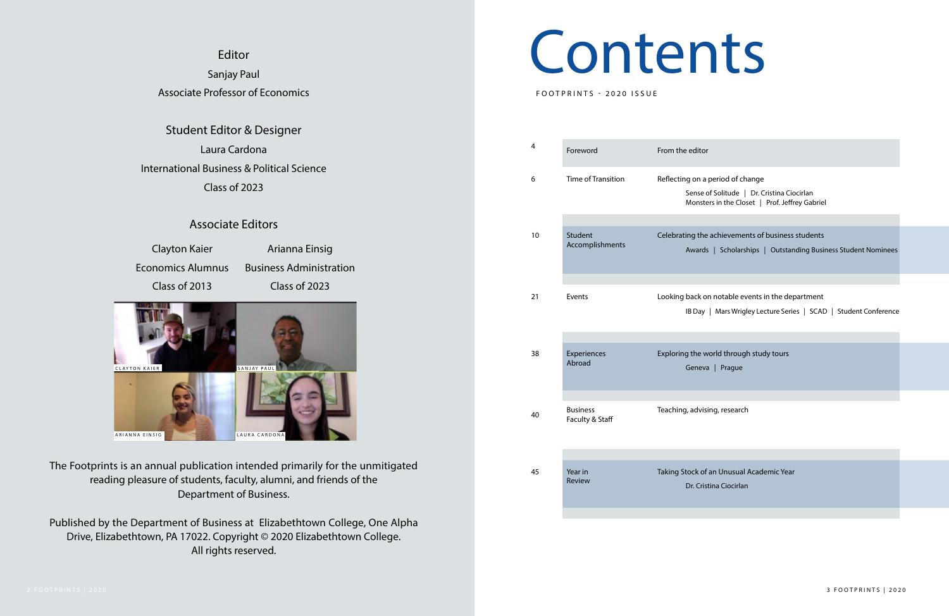### Contents

FOOTPRINTS - 2020 ISSUE

| editor ؛                                                                                     |  |
|----------------------------------------------------------------------------------------------|--|
| g on a period of change                                                                      |  |
| Sense of Solitude   Dr. Cristina Ciocirlan<br>Monsters in the Closet   Prof. Jeffrey Gabriel |  |
|                                                                                              |  |
| ing the achievements of business students                                                    |  |
| Awards   Scholarships   Outstanding Business Student Nominees                                |  |
|                                                                                              |  |
| back on notable events in the department                                                     |  |
| IB Day   Mars Wrigley Lecture Series   SCAD   Student Conference                             |  |
|                                                                                              |  |
| g the world through study tours<br>Geneva   Prague                                           |  |
|                                                                                              |  |
|                                                                                              |  |

#### Editor Sanjay Paul Associate Professor of Economics

| 4  | Foreword                           | From the editor                                                                                                                 |
|----|------------------------------------|---------------------------------------------------------------------------------------------------------------------------------|
| 6  | Time of Transition                 | Reflecting on a period of change<br>Sense of Solitude   Dr. Cristina Ciocirlan<br>Monsters in the Closet   Prof. Jeffrey Gabrie |
|    |                                    |                                                                                                                                 |
| 10 | Student<br>Accomplishments         | Celebrating the achievements of business students<br>Awards   Scholarships   Outstanding Busi                                   |
|    |                                    |                                                                                                                                 |
| 21 | Events                             | Looking back on notable events in the department<br>IB Day   Mars Wrigley Lecture Series   SCAI                                 |
|    |                                    |                                                                                                                                 |
| 38 | Experiences<br>Abroad              | Exploring the world through study tours<br>Prague<br>Geneva                                                                     |
|    |                                    |                                                                                                                                 |
| 40 | <b>Business</b><br>Faculty & Staff | Teaching, advising, research                                                                                                    |
|    |                                    |                                                                                                                                 |
| 45 | Year in<br>Review                  | Taking Stock of an Unusual Academic Year<br>Dr. Cristina Ciocirlan                                                              |



Student Editor & Designer Laura Cardona International Business & Political Science Class of 2023

#### Associate Editors

The Footprints is an annual publication intended primarily for the unmitigated reading pleasure of students, faculty, alumni, and friends of the Department of Business.

Published by the Department of Business at Elizabethtown College, One Alpha Drive, Elizabethtown, PA 17022. Copyright © 2020 Elizabethtown College. All rights reserved.

Clayton Kaier Economics Alumnus Class of 2013

Arianna Einsig Business Administration Class of 2023

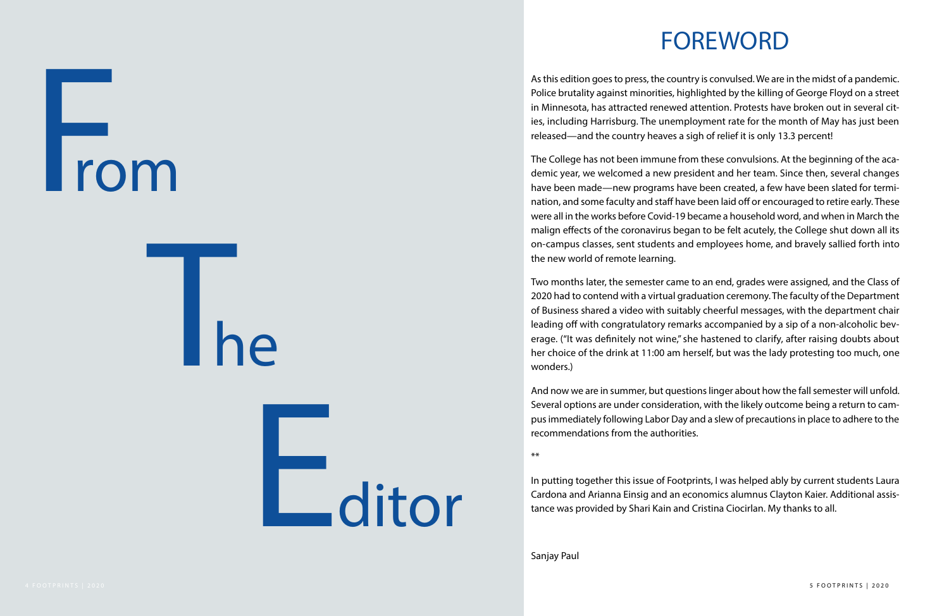#### FOREWORD

As this edition goes to press, the country is convulsed. We are in the midst of a pandemic. Police brutality against minorities, highlighted by the killing of George Floyd on a street in Minnesota, has attracted renewed attention. Protests have broken out in several cities, including Harrisburg. The unemployment rate for the month of May has just been released—and the country heaves a sigh of relief it is only 13.3 percent!

The College has not been immune from these convulsions. At the beginning of the academic year, we welcomed a new president and her team. Since then, several changes have been made—new programs have been created, a few have been slated for termination, and some faculty and staff have been laid off or encouraged to retire early. These were all in the works before Covid-19 became a household word, and when in March the malign effects of the coronavirus began to be felt acutely, the College shut down all its on-campus classes, sent students and employees home, and bravely sallied forth into the new world of remote learning.

Two months later, the semester came to an end, grades were assigned, and the Class of 2020 had to contend with a virtual graduation ceremony. The faculty of the Department of Business shared a video with suitably cheerful messages, with the department chair leading off with congratulatory remarks accompanied by a sip of a non-alcoholic beverage. ("It was definitely not wine," she hastened to clarify, after raising doubts about her choice of the drink at 11:00 am herself, but was the lady protesting too much, one wonders.)

And now we are in summer, but questions linger about how the fall semester will unfold. Several options are under consideration, with the likely outcome being a return to campus immediately following Labor Day and a slew of precautions in place to adhere to the recommendations from the authorities.

\*\*

In putting together this issue of Footprints, I was helped ably by current students Laura Cardona and Arianna Einsig and an economics alumnus Clayton Kaier. Additional assistance was provided by Shari Kain and Cristina Ciocirlan. My thanks to all.

Sanjay Paul

From

Editor

he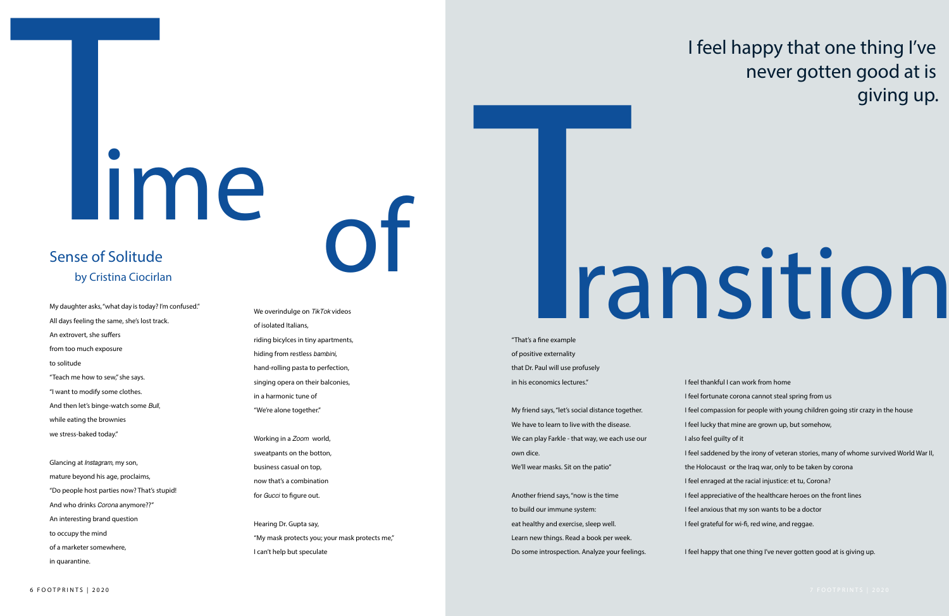# Time

My daughter asks, "what day is today? I'm confused." All days feeling the same, she's lost track. An extrovert, she suffers from too much exposure to solitude "Teach me how to sew," she says. "I want to modify some clothes. And then let's binge-watch some *Bull*, while eating the brownies we stress-baked today."

Glancing at *Instagram*, my son, mature beyond his age, proclaims, "Do people host parties now? That's stupid! And who drinks *Corona* anymore??" An interesting brand question to occupy the mind of a marketer somewhere, in quarantine.

#### We overindulge on *TikTok* videos of isolated Italians, riding bicylces in tiny apartments, hiding from restless *bambini*, hand-rolling pasta to perfection, singing opera on their balconies,

in a harmonic tune of "We're alone together."

Working in a *Zoom* world, sweatpants on the botton, business casual on top, now that's a combination for *Gucci* to figure out.

Hearing Dr. Gupta say, "My mask protects you; your mask protects me," I can't help but speculate

#### I feel happy that one thing I've never gotten good at is giving up.

# Transition

#### Sense of Solitude by Cristina Ciocirlan

of

- I feel thankful I can work from home
- I feel fortunate corona cannot steal spring from us
- I feel compassion for people with young children going stir crazy in the house
- I feel lucky that mine are grown up, but somehow,
- I also feel guilty of it
- I feel saddened by the irony of veteran stories, many of whome survived World War II,
- the Holocaust or the Iraq war, only to be taken by corona
- I feel enraged at the racial injustice: et tu, Corona?
- I feel appreciative of the healthcare heroes on the front lines
- I feel anxious that my son wants to be a doctor
- I feel grateful for wi-fi, red wine, and reggae.

I feel happy that one thing I've never gotten good at is giving up.

"That's a fine example of positive externality that Dr. Paul will use profusely in his economics lectures."

My friend says, "let's social distance together. We have to learn to live with the disease. We can play Farkle - that way, we each use our own dice. We'll wear masks. Sit on the patio" Another friend says, "now is the time to build our immune system: eat healthy and exercise, sleep well.

Learn new things. Read a book per week.

Do some introspection. Analyze your feelings.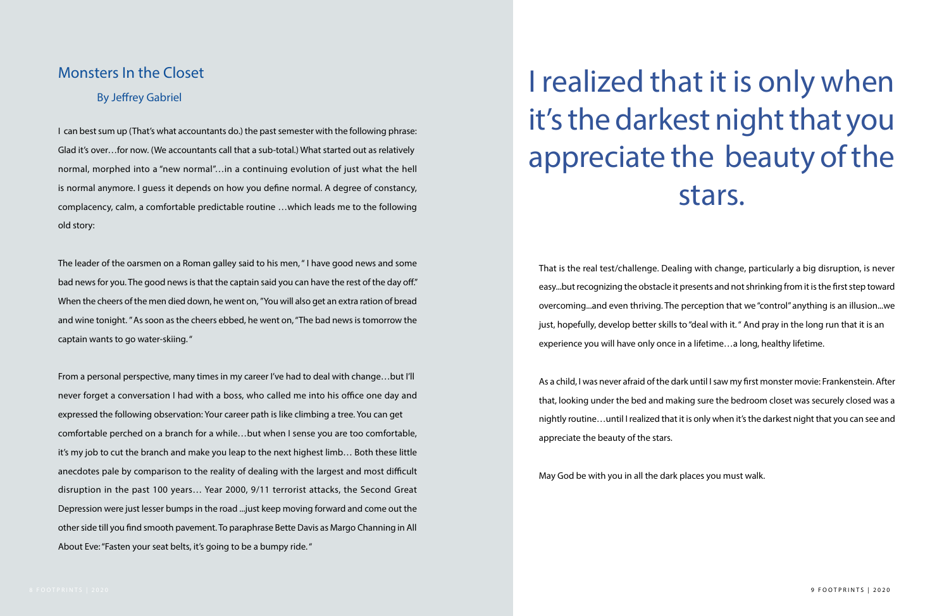#### I realized that it is only when it's the darkest night that you appreciate the beauty of the stars.

I can best sum up (That's what accountants do.) the past semester with the following phrase: Glad it's over…for now. (We accountants call that a sub-total.) What started out as relatively normal, morphed into a "new normal"…in a continuing evolution of just what the hell is normal anymore. I guess it depends on how you define normal. A degree of constancy, complacency, calm, a comfortable predictable routine …which leads me to the following old story:

The leader of the oarsmen on a Roman galley said to his men, " I have good news and some bad news for you. The good news is that the captain said you can have the rest of the day off." When the cheers of the men died down, he went on, "You will also get an extra ration of bread and wine tonight. " As soon as the cheers ebbed, he went on, "The bad news is tomorrow the captain wants to go water-skiing. "

From a personal perspective, many times in my career I've had to deal with change…but I'll never forget a conversation I had with a boss, who called me into his office one day and expressed the following observation: Your career path is like climbing a tree. You can get comfortable perched on a branch for a while…but when I sense you are too comfortable, it's my job to cut the branch and make you leap to the next highest limb… Both these little anecdotes pale by comparison to the reality of dealing with the largest and most difficult disruption in the past 100 years… Year 2000, 9/11 terrorist attacks, the Second Great Depression were just lesser bumps in the road ...just keep moving forward and come out the other side till you find smooth pavement. To paraphrase Bette Davis as Margo Channing in All About Eve: "Fasten your seat belts, it's going to be a bumpy ride. "

#### Monsters In the Closet

#### By Jeffrey Gabriel

That is the real test/challenge. Dealing with change, particularly a big disruption, is never easy...but recognizing the obstacle it presents and not shrinking from it is the first step toward overcoming...and even thriving. The perception that we "control" anything is an illusion...we just, hopefully, develop better skills to "deal with it. " And pray in the long run that it is an experience you will have only once in a lifetime…a long, healthy lifetime.

As a child, I was never afraid of the dark until I saw my first monster movie: Frankenstein. After that, looking under the bed and making sure the bedroom closet was securely closed was a nightly routine…until I realized that it is only when it's the darkest night that you can see and appreciate the beauty of the stars.

May God be with you in all the dark places you must walk.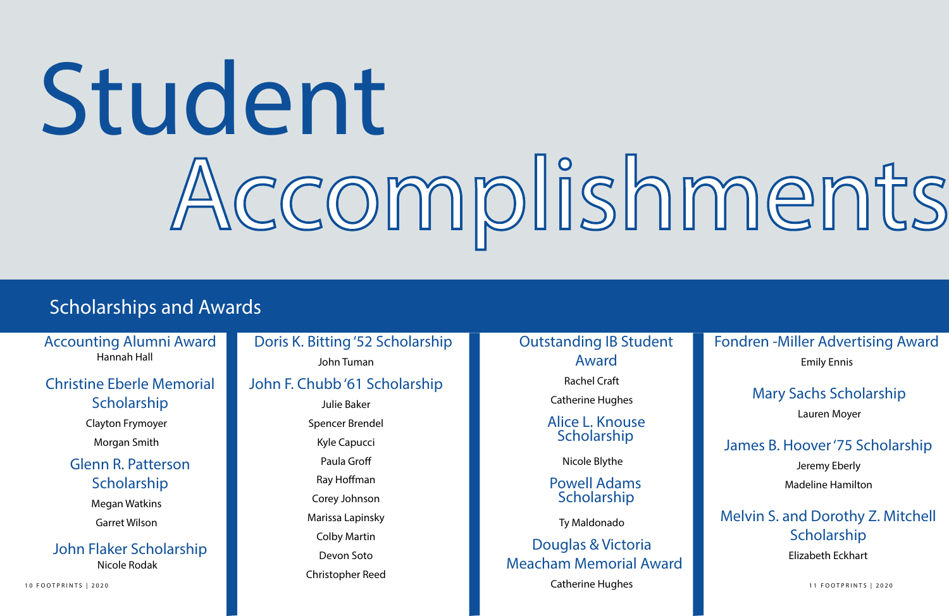# Student Accomplishments

#### Scholarships and Awards

Accounting Alumni Award Hannah Hall

Doris K. Bitting '52 Scholarship

#### John Tuman

#### Glenn R. Patterson **Scholarship**

#### Christine Eberle Memorial Scholarship

Clayton Frymoyer Morgan Smith

#### John F. Chubb '61 Scholarship

Alice L. Knouse **Scholarship** 

10 FOOTPRINTS | 2020 **ISSUE 11 FOOTPRINTS | 2020 CATHERING HUGHES ISSUE 11 FOOTPRINTS | 2020** Catherine Hughes

Julie Baker Spencer Brendel Kyle Capucci Paula Groff Ray Hoffman Corey Johnson Marissa Lapinsky Colby Martin Devon Soto Christopher Reed

#### Melvin S. and Dorothy Z. Mitchell **Scholarship**

Megan Watkins Garret Wilson

#### John Flaker Scholarship Nicole Rodak

Rachel Craft

Catherine Hughes

#### Outstanding IB Student Award

Nicole Blythe

Douglas & Victoria Meacham Memorial Award

Powell Adams Scholarship

Ty Maldonado

#### Fondren -Miller Advertising Award

#### Emily Ennis

#### Mary Sachs Scholarship

Lauren Moyer

#### James B. Hoover '75 Scholarship

Jeremy Eberly Madeline Hamilton

Elizabeth Eckhart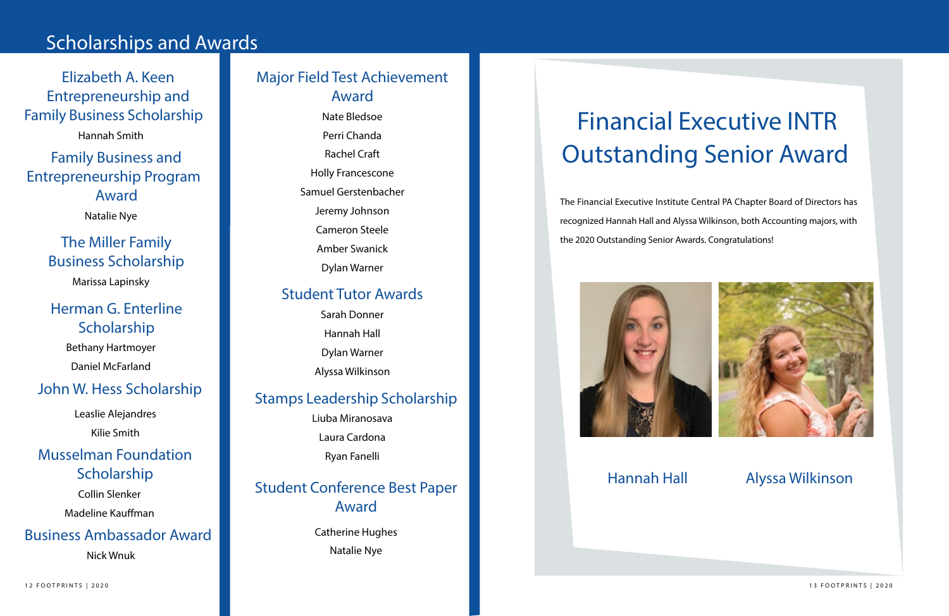#### Scholarships and Awards

Nate Bledsoe Perri Chanda Rachel Craft Holly Francescone Samuel Gerstenbacher Jeremy Johnson Cameron Steele Amber Swanick

Dylan Warner

Hannah Smith

Elizabeth A. Keen Entrepreneurship and Family Business Scholarship

Family Business and Entrepreneurship Program Award

#### Major Field Test Achievement Award

Natalie Nye

#### The Miller Family Business Scholarship

Marissa Lapinsky

#### Herman G. Enterline Scholarship

Bethany Hartmoyer

Daniel McFarland

#### John W. Hess Scholarship

Leaslie Alejandres Kilie Smith

#### Musselman Foundation Scholarship

Collin Slenker

Madeline Kauffman

#### Student Tutor Awards

Sarah Donner Hannah Hall Dylan Warner Alyssa Wilkinson

#### Business Ambassador Award

Nick Wnuk

The Financial Executive Institute Central PA Chapter Board of Directors has recognized Hannah Hall and Alyssa Wilkinson, both Accounting majors, with the 2020 Outstanding Senior Awards. Congratulations!





#### Financial Executive INTR Outstanding Senior Award

#### Hannah Hall Alyssa Wilkinson

#### Stamps Leadership Scholarship

Liuba Miranosava

Laura Cardona

Ryan Fanelli

#### Student Conference Best Paper Award

Catherine Hughes Natalie Nye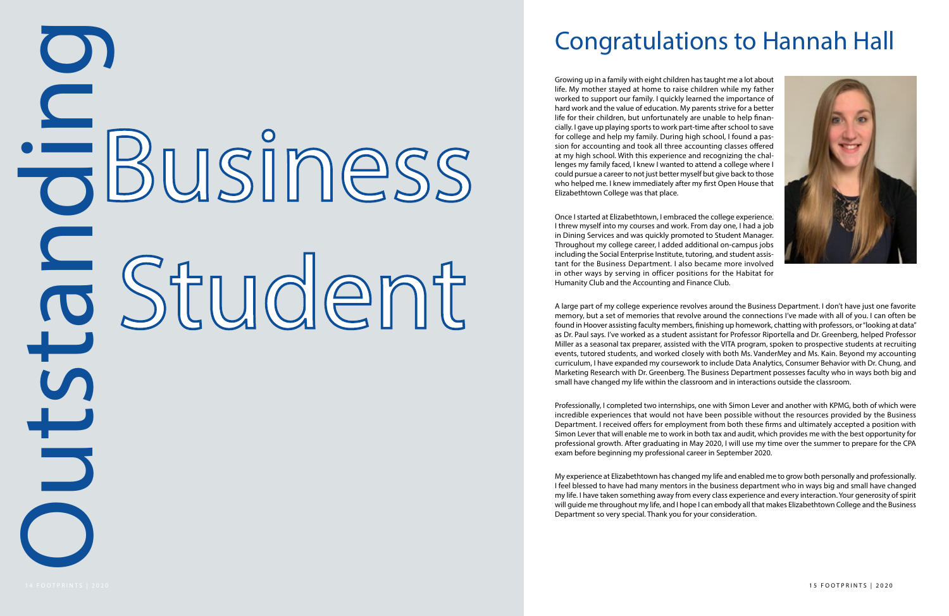# to Business<br>14 Student<br>15

#### Congratulations to Hannah Hall

Growing up in a family with eight children has taught me a lot about life. My mother stayed at home to raise children while my father worked to support our family. I quickly learned the importance of hard work and the value of education. My parents strive for a better life for their children, but unfortunately are unable to help finan cially. I gave up playing sports to work part-time after school to save for college and help my family. During high school, I found a pas sion for accounting and took all three accounting classes offered at my high school. With this experience and recognizing the chal lenges my family faced, I knew I wanted to attend a college where I could pursue a career to not just better myself but give back to those who helped me. I knew immediately after my first Open House that Elizabethtown College was that place.

Once I started at Elizabethtown, I embraced the college experience. I threw myself into my courses and work. From day one, I had a job in Dining Services and was quickly promoted to Student Manager. Throughout my college career, I added additional on-campus jobs including the Social Enterprise Institute, tutoring, and student assis tant for the Business Department. I also became more involved in other ways by serving in officer positions for the Habitat for Humanity Club and the Accounting and Finance Club.

A large part of my college experience revolves around the Business Department. I don't have just one favorite memory, but a set of memories that revolve around the connections I've made with all of you. I can often be found in Hoover assisting faculty members, finishing up homework, chatting with professors, or "looking at data" as Dr. Paul says. I've worked as a student assistant for Professor Riportella and Dr. Greenberg, helped Professor Miller as a seasonal tax preparer, assisted with the VITA program, spoken to prospective students at recruiting events, tutored students, and worked closely with both Ms. VanderMey and Ms. Kain. Beyond my accounting curriculum, I have expanded my coursework to include Data Analytics, Consumer Behavior with Dr. Chung, and Marketing Research with Dr. Greenberg. The Business Department possesses faculty who in ways both big and small have changed my life within the classroom and in interactions outside the classroom.

Professionally, I completed two internships, one with Simon Lever and another with KPMG, both of which were incredible experiences that would not have been possible without the resources provided by the Business Department. I received offers for employment from both these firms and ultimately accepted a position with Simon Lever that will enable me to work in both tax and audit, which provides me with the best opportunity for professional growth. After graduating in May 2020, I will use my time over the summer to prepare for the CPA exam before beginning my professional career in September 2020.

My experience at Elizabethtown has changed my life and enabled me to grow both personally and professionally. I feel blessed to have had many mentors in the business department who in ways big and small have changed my life. I have taken something away from every class experience and every interaction. Your generosity of spirit will guide me throughout my life, and I hope I can embody all that makes Elizabethtown College and the Business Department so very special. Thank you for your consideration.

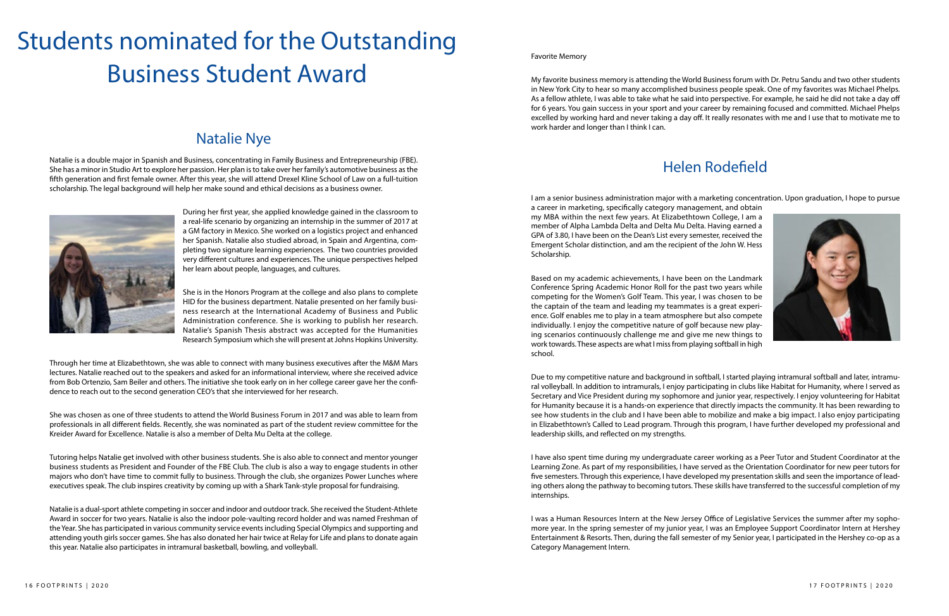#### Natalie Nye

#### Students nominated for the Outstanding Business Student Award

Natalie is a double major in Spanish and Business, concentrating in Family Business and Entrepreneurship (FBE). She has a minor in Studio Art to explore her passion. Her plan is to take over her family's automotive business as the fifth generation and first female owner. After this year, she will attend Drexel Kline School of Law on a full-tuition scholarship. The legal background will help her make sound and ethical decisions as a business owner.



During her first year, she applied knowledge gained in the classroom to a real-life scenario by organizing an internship in the summer of 2017 at a GM factory in Mexico. She worked on a logistics project and enhanced her Spanish. Natalie also studied abroad, in Spain and Argentina, completing two signature learning experiences. The two countries provided very different cultures and experiences. The unique perspectives helped her learn about people, languages, and cultures.

She is in the Honors Program at the college and also plans to complete HID for the business department. Natalie presented on her family business research at the International Academy of Business and Public Administration conference. She is working to publish her research. Natalie's Spanish Thesis abstract was accepted for the Humanities Research Symposium which she will present at Johns Hopkins University.

Through her time at Elizabethtown, she was able to connect with many business executives after the M&M Mars lectures. Natalie reached out to the speakers and asked for an informational interview, where she received advice from Bob Ortenzio, Sam Beiler and others. The initiative she took early on in her college career gave her the confidence to reach out to the second generation CEO's that she interviewed for her research.

She was chosen as one of three students to attend the World Business Forum in 2017 and was able to learn from professionals in all different fields. Recently, she was nominated as part of the student review committee for the Kreider Award for Excellence. Natalie is also a member of Delta Mu Delta at the college.

Tutoring helps Natalie get involved with other business students. She is also able to connect and mentor younger business students as President and Founder of the FBE Club. The club is also a way to engage students in other majors who don't have time to commit fully to business. Through the club, she organizes Power Lunches where executives speak. The club inspires creativity by coming up with a Shark Tank-style proposal for fundraising.

Natalie is a dual-sport athlete competing in soccer and indoor and outdoor track. She received the Student-Athlete Award in soccer for two years. Natalie is also the indoor pole-vaulting record holder and was named Freshman of the Year. She has participated in various community service events including Special Olympics and supporting and attending youth girls soccer games. She has also donated her hair twice at Relay for Life and plans to donate again this year. Natalie also participates in intramural basketball, bowling, and volleyball.

#### Favorite Memory

My favorite business memory is attending the World Business forum with Dr. Petru Sandu and two other students in New York City to hear so many accomplished business people speak. One of my favorites was Michael Phelps. As a fellow athlete, I was able to take what he said into perspective. For example, he said he did not take a day off for 6 years. You gain success in your sport and your career by remaining focused and committed. Michael Phelps excelled by working hard and never taking a day off. It really resonates with me and I use that to motivate me to work harder and longer than I think I can.

I am a senior business administration major with a marketing concentration. Upon graduation, I hope to pursue a career in marketing, specifically category management, and obtain my MBA within the next few years. At Elizabethtown College, I am a member of Alpha Lambda Delta and Delta Mu Delta. Having earned a GPA of 3.80, I have been on the Dean's List every semester, received the Emergent Scholar distinction, and am the recipient of the John W. Hess Scholarship.

Based on my academic achievements, I have been on the Landmark Conference Spring Academic Honor Roll for the past two years while competing for the Women's Golf Team. This year, I was chosen to be the captain of the team and leading my teammates is a great experience. Golf enables me to play in a team atmosphere but also compete individually. I enjoy the competitive nature of golf because new playing scenarios continuously challenge me and give me new things to work towards. These aspects are what I miss from playing softball in high school.

Due to my competitive nature and background in softball, I started playing intramural softball and later, intramural volleyball. In addition to intramurals, I enjoy participating in clubs like Habitat for Humanity, where I served as Secretary and Vice President during my sophomore and junior year, respectively. I enjoy volunteering for Habitat for Humanity because it is a hands-on experience that directly impacts the community. It has been rewarding to see how students in the club and I have been able to mobilize and make a big impact. I also enjoy participating in Elizabethtown's Called to Lead program. Through this program, I have further developed my professional and leadership skills, and reflected on my strengths.

I have also spent time during my undergraduate career working as a Peer Tutor and Student Coordinator at the Learning Zone. As part of my responsibilities, I have served as the Orientation Coordinator for new peer tutors for five semesters. Through this experience, I have developed my presentation skills and seen the importance of leading others along the pathway to becoming tutors. These skills have transferred to the successful completion of my internships.

I was a Human Resources Intern at the New Jersey Office of Legislative Services the summer after my sophomore year. In the spring semester of my junior year, I was an Employee Support Coordinator Intern at Hershey Entertainment & Resorts. Then, during the fall semester of my Senior year, I participated in the Hershey co-op as a Category Management Intern.

#### Helen Rodefield

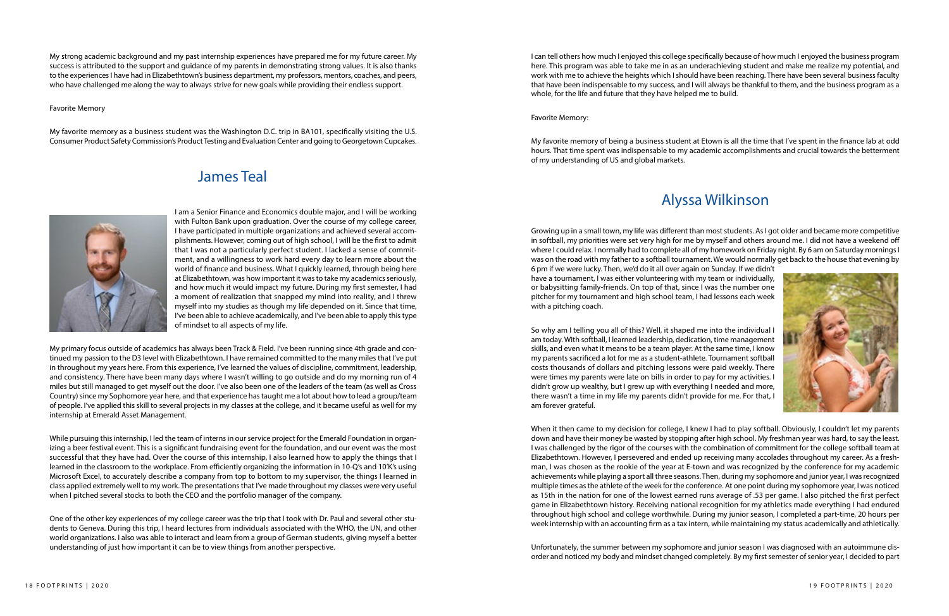My strong academic background and my past internship experiences have prepared me for my future career. My success is attributed to the support and guidance of my parents in demonstrating strong values. It is also thanks to the experiences I have had in Elizabethtown's business department, my professors, mentors, coaches, and peers, who have challenged me along the way to always strive for new goals while providing their endless support.

Favorite Memory

My favorite memory as a business student was the Washington D.C. trip in BA101, specifically visiting the U.S. Consumer Product Safety Commission's Product Testing and Evaluation Center and going to Georgetown Cupcakes.

> I am a Senior Finance and Economics double major, and I will be working with Fulton Bank upon graduation. Over the course of my college career, I have participated in multiple organizations and achieved several accomplishments. However, coming out of high school, I will be the first to admit that I was not a particularly perfect student. I lacked a sense of commitment, and a willingness to work hard every day to learn more about the world of finance and business. What I quickly learned, through being here at Elizabethtown, was how important it was to take my academics seriously, and how much it would impact my future. During my first semester, I had a moment of realization that snapped my mind into reality, and I threw myself into my studies as though my life depended on it. Since that time, I've been able to achieve academically, and I've been able to apply this type of mindset to all aspects of my life.

While pursuing this internship, I led the team of interns in our service project for the Emerald Foundation in organizing a beer festival event. This is a significant fundraising event for the foundation, and our event was the most successful that they have had. Over the course of this internship, I also learned how to apply the things that I learned in the classroom to the workplace. From efficiently organizing the information in 10-Q's and 10'K's using Microsoft Excel, to accurately describe a company from top to bottom to my supervisor, the things I learned in class applied extremely well to my work. The presentations that I've made throughout my classes were very useful when I pitched several stocks to both the CEO and the portfolio manager of the company.

My primary focus outside of academics has always been Track & Field. I've been running since 4th grade and continued my passion to the D3 level with Elizabethtown. I have remained committed to the many miles that I've put in throughout my years here. From this experience, I've learned the values of discipline, commitment, leadership, and consistency. There have been many days where I wasn't willing to go outside and do my morning run of 4 miles but still managed to get myself out the door. I've also been one of the leaders of the team (as well as Cross Country) since my Sophomore year here, and that experience has taught me a lot about how to lead a group/team of people. I've applied this skill to several projects in my classes at the college, and it became useful as well for my internship at Emerald Asset Management.

One of the other key experiences of my college career was the trip that I took with Dr. Paul and several other students to Geneva. During this trip, I heard lectures from individuals associated with the WHO, the UN, and other world organizations. I also was able to interact and learn from a group of German students, giving myself a better understanding of just how important it can be to view things from another perspective.

When it then came to my decision for college, I knew I had to play softball. Obviously, I couldn't let my parents down and have their money be wasted by stopping after high school. My freshman year was hard, to say the least. I was challenged by the rigor of the courses with the combination of commitment for the college softball team at Elizabethtown. However, I persevered and ended up receiving many accolades throughout my career. As a freshman, I was chosen as the rookie of the year at E-town and was recognized by the conference for my academic achievements while playing a sport all three seasons. Then, during my sophomore and junior year, I was recognized multiple times as the athlete of the week for the conference. At one point during my sophomore year, I was noticed as 15th in the nation for one of the lowest earned runs average of .53 per game. I also pitched the first perfect game in Elizabethtown history. Receiving national recognition for my athletics made everything I had endured throughout high school and college worthwhile. During my junior season, I completed a part-time, 20 hours per week internship with an accounting firm as a tax intern, while maintaining my status academically and athletically.

I can tell others how much I enjoyed this college specifically because of how much I enjoyed the business program here. This program was able to take me in as an underachieving student and make me realize my potential, and work with me to achieve the heights which I should have been reaching. There have been several business faculty that have been indispensable to my success, and I will always be thankful to them, and the business program as a whole, for the life and future that they have helped me to build.

Favorite Memory:

My favorite memory of being a business student at Etown is all the time that I've spent in the finance lab at odd hours. That time spent was indispensable to my academic accomplishments and crucial towards the betterment of my understanding of US and global markets.

Growing up in a small town, my life was different than most students. As I got older and became more competitive in softball, my priorities were set very high for me by myself and others around me. I did not have a weekend off where I could relax. I normally had to complete all of my homework on Friday night. By 6 am on Saturday mornings I was on the road with my father to a softball tournament. We would normally get back to the house that evening by 6 pm if we were lucky. Then, we'd do it all over again on Sunday. If we didn't have a tournament, I was either volunteering with my team or individually, or babysitting family-friends. On top of that, since I was the number one pitcher for my tournament and high school team, I had lessons each week with a pitching coach.

So why am I telling you all of this? Well, it shaped me into the individual I am today. With softball, I learned leadership, dedication, time management skills, and even what it means to be a team player. At the same time, I know my parents sacrificed a lot for me as a student-athlete. Tournament softball costs thousands of dollars and pitching lessons were paid weekly. There were times my parents were late on bills in order to pay for my activities. I didn't grow up wealthy, but I grew up with everything I needed and more, there wasn't a time in my life my parents didn't provide for me. For that, I am forever grateful.

Unfortunately, the summer between my sophomore and junior season I was diagnosed with an autoimmune disorder and noticed my body and mindset changed completely. By my first semester of senior year, I decided to part

#### James Teal



#### Alyssa Wilkinson

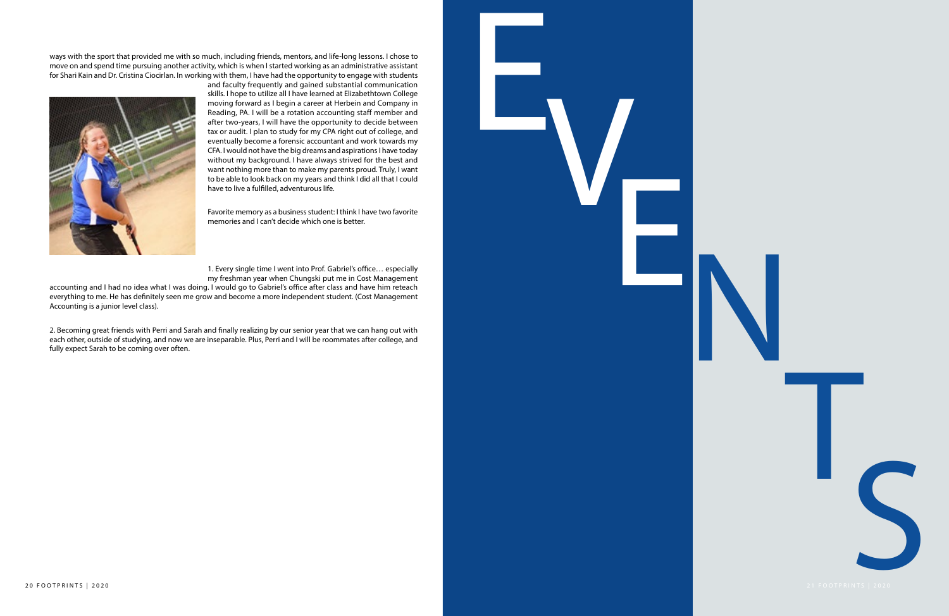

ways with the sport that provided me with so much, including friends, mentors, and life-long lessons. I chose to move on and spend time pursuing another activity, which is when I started working as an administrative assistant for Shari Kain and Dr. Cristina Ciocirlan. In working with them, I have had the opportunity to engage with students



and faculty frequently and gained substantial communication skills. I hope to utilize all I have learned at Elizabethtown College moving forward as I begin a career at Herbein and Company in Reading, PA. I will be a rotation accounting staff member and after two-years, I will have the opportunity to decide between tax or audit. I plan to study for my CPA right out of college, and eventually become a forensic accountant and work towards my CFA. I would not have the big dreams and aspirations I have today without my background. I have always strived for the best and want nothing more than to make my parents proud. Truly, I want to be able to look back on my years and think I did all that I could have to live a fulfilled, adventurous life.

Favorite memory as a business student: I think I have two favorite memories and I can't decide which one is better.

1. Every single time I went into Prof. Gabriel's office… especially my freshman year when Chungski put me in Cost Management

accounting and I had no idea what I was doing. I would go to Gabriel's office after class and have him reteach everything to me. He has definitely seen me grow and become a more independent student. (Cost Management Accounting is a junior level class).

2. Becoming great friends with Perri and Sarah and finally realizing by our senior year that we can hang out with each other, outside of studying, and now we are inseparable. Plus, Perri and I will be roommates after college, and fully expect Sarah to be coming over often.

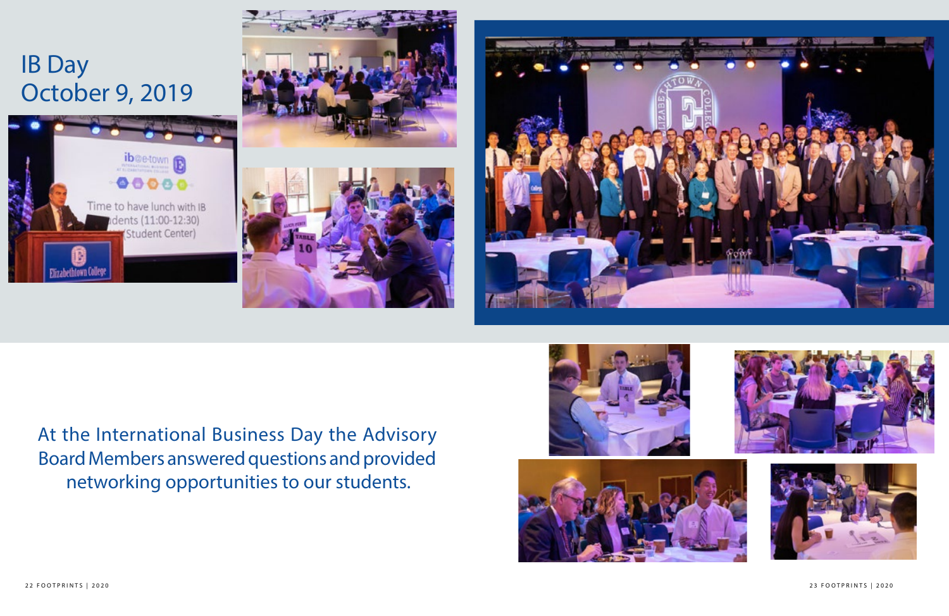#### $2318011$  magazine  $221801$ 22 FOOTPRINTS | 2020 23 FOOTPRINTS | 2020

At the International Business Day the Advisory Board Members answered questions and provided networking opportunities to our students.















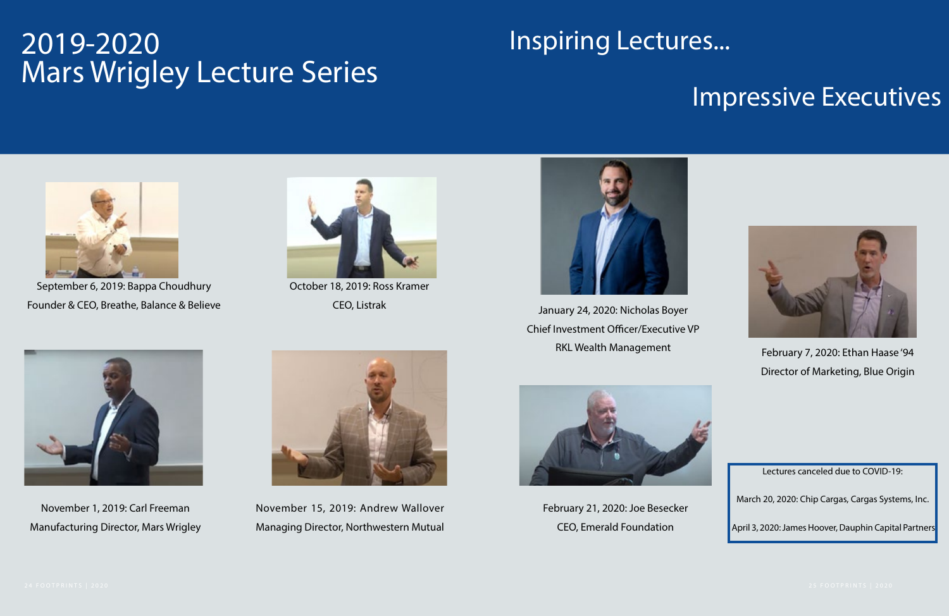#### Impressive Executives



#### 2019-2020 Mars Wrigley Lecture Series



September 6, 2019: Bappa Choudhury Founder & CEO, Breathe, Balance & Believe



October 18, 2019: Ross Kramer CEO, Listrak



November 1, 2019: Carl Freeman Manufacturing Director, Mars Wrigley



November 15, 2019: Andrew Wallover Managing Director, Northwestern Mutual



January 24, 2020: Nicholas Boyer Chief Investment Officer/Executive VP

RKL Wealth Management February 7, 2020: Ethan Haase '94 Director of Marketing, Blue Origin



February 21, 2020: Joe Besecker CEO, Emerald Foundation





March 20, 2020: Chip Cargas, Cargas Systems, Inc.

April 3, 2020: James Hoover, Dauphin Capital Partners

#### Inspiring Lectures...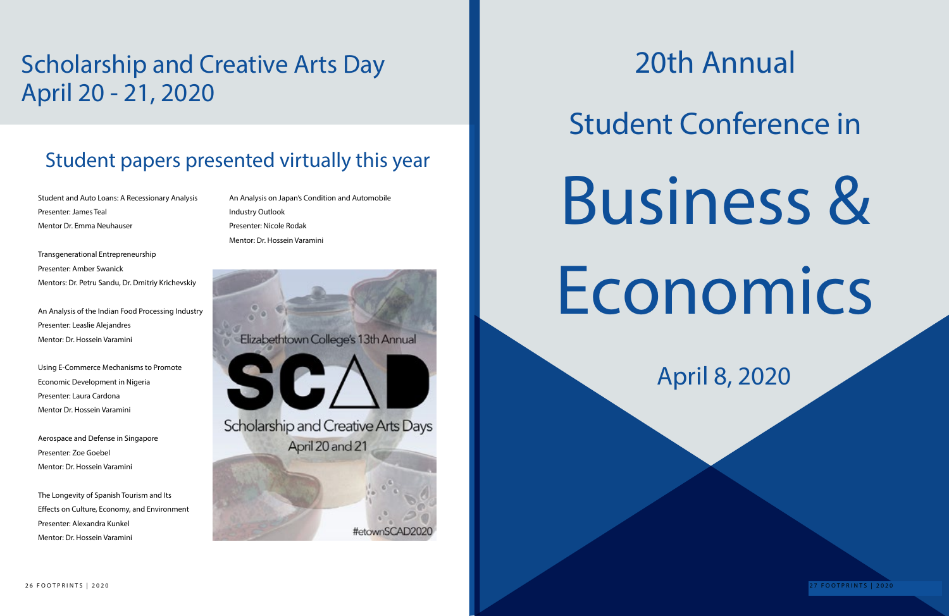## 20th Annual Student Conference in Business & Economics

#### Student papers presented virtually this year

#### Scholarship and Creative Arts Day April 20 - 21, 2020

Student and Auto Loans: A Recessionary Analysis Presenter: James Teal Mentor Dr. Emma Neuhauser

Transgenerational Entrepreneurship Presenter: Amber Swanick Mentors: Dr. Petru Sandu, Dr. Dmitriy Krichevskiy

An Analysis of the Indian Food Processing Industry Presenter: Leaslie Alejandres Mentor: Dr. Hossein Varamini

Using E-Commerce Mechanisms to Promote Economic Development in Nigeria Presenter: Laura Cardona Mentor Dr. Hossein Varamini

Aerospace and Defense in Singapore Presenter: Zoe Goebel Mentor: Dr. Hossein Varamini

The Longevity of Spanish Tourism and Its Effects on Culture, Economy, and Environment Presenter: Alexandra Kunkel Mentor: Dr. Hossein Varamini

An Analysis on Japan's Condition and Automobile Industry Outlook Presenter: Nicole Rodak Mentor: Dr. Hossein Varamini

Elizabethtown College's 13th Annual



Scholarship and Creative Arts Days April 20 and 21

April 8, 2020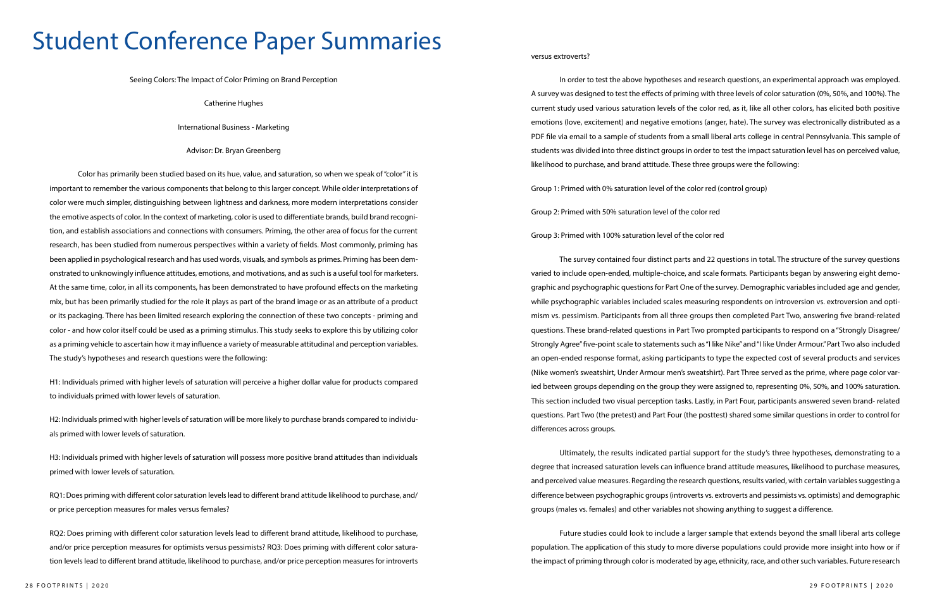#### Student Conference Paper Summaries

Seeing Colors: The Impact of Color Priming on Brand Perception

Catherine Hughes

International Business - Marketing

Advisor: Dr. Bryan Greenberg

Color has primarily been studied based on its hue, value, and saturation, so when we speak of "color" it is important to remember the various components that belong to this larger concept. While older interpretations of color were much simpler, distinguishing between lightness and darkness, more modern interpretations consider the emotive aspects of color. In the context of marketing, color is used to differentiate brands, build brand recognition, and establish associations and connections with consumers. Priming, the other area of focus for the current research, has been studied from numerous perspectives within a variety of fields. Most commonly, priming has been applied in psychological research and has used words, visuals, and symbols as primes. Priming has been demonstrated to unknowingly influence attitudes, emotions, and motivations, and as such is a useful tool for marketers. At the same time, color, in all its components, has been demonstrated to have profound effects on the marketing mix, but has been primarily studied for the role it plays as part of the brand image or as an attribute of a product or its packaging. There has been limited research exploring the connection of these two concepts - priming and color - and how color itself could be used as a priming stimulus. This study seeks to explore this by utilizing color as a priming vehicle to ascertain how it may influence a variety of measurable attitudinal and perception variables. The study's hypotheses and research questions were the following:

H1: Individuals primed with higher levels of saturation will perceive a higher dollar value for products compared to individuals primed with lower levels of saturation.

H2: Individuals primed with higher levels of saturation will be more likely to purchase brands compared to individuals primed with lower levels of saturation.

H3: Individuals primed with higher levels of saturation will possess more positive brand attitudes than individuals primed with lower levels of saturation.

RQ1: Does priming with different color saturation levels lead to different brand attitude likelihood to purchase, and/ or price perception measures for males versus females?

RQ2: Does priming with different color saturation levels lead to different brand attitude, likelihood to purchase, and/or price perception measures for optimists versus pessimists? RQ3: Does priming with different color saturation levels lead to different brand attitude, likelihood to purchase, and/or price perception measures for introverts versus extroverts?

In order to test the above hypotheses and research questions, an experimental approach was employed. A survey was designed to test the effects of priming with three levels of color saturation (0%, 50%, and 100%). The current study used various saturation levels of the color red, as it, like all other colors, has elicited both positive emotions (love, excitement) and negative emotions (anger, hate). The survey was electronically distributed as a PDF file via email to a sample of students from a small liberal arts college in central Pennsylvania. This sample of students was divided into three distinct groups in order to test the impact saturation level has on perceived value, likelihood to purchase, and brand attitude. These three groups were the following:

Group 1: Primed with 0% saturation level of the color red (control group)

Group 2: Primed with 50% saturation level of the color red

Group 3: Primed with 100% saturation level of the color red

The survey contained four distinct parts and 22 questions in total. The structure of the survey questions varied to include open-ended, multiple-choice, and scale formats. Participants began by answering eight demographic and psychographic questions for Part One of the survey. Demographic variables included age and gender, while psychographic variables included scales measuring respondents on introversion vs. extroversion and optimism vs. pessimism. Participants from all three groups then completed Part Two, answering five brand-related questions. These brand-related questions in Part Two prompted participants to respond on a "Strongly Disagree/ Strongly Agree" five-point scale to statements such as "I like Nike" and "I like Under Armour." Part Two also included an open-ended response format, asking participants to type the expected cost of several products and services (Nike women's sweatshirt, Under Armour men's sweatshirt). Part Three served as the prime, where page color varied between groups depending on the group they were assigned to, representing 0%, 50%, and 100% saturation. This section included two visual perception tasks. Lastly, in Part Four, participants answered seven brand- related questions. Part Two (the pretest) and Part Four (the posttest) shared some similar questions in order to control for differences across groups.

Ultimately, the results indicated partial support for the study's three hypotheses, demonstrating to a degree that increased saturation levels can influence brand attitude measures, likelihood to purchase measures, and perceived value measures. Regarding the research questions, results varied, with certain variables suggesting a difference between psychographic groups (introverts vs. extroverts and pessimists vs. optimists) and demographic groups (males vs. females) and other variables not showing anything to suggest a difference.

Future studies could look to include a larger sample that extends beyond the small liberal arts college population. The application of this study to more diverse populations could provide more insight into how or if the impact of priming through color is moderated by age, ethnicity, race, and other such variables. Future research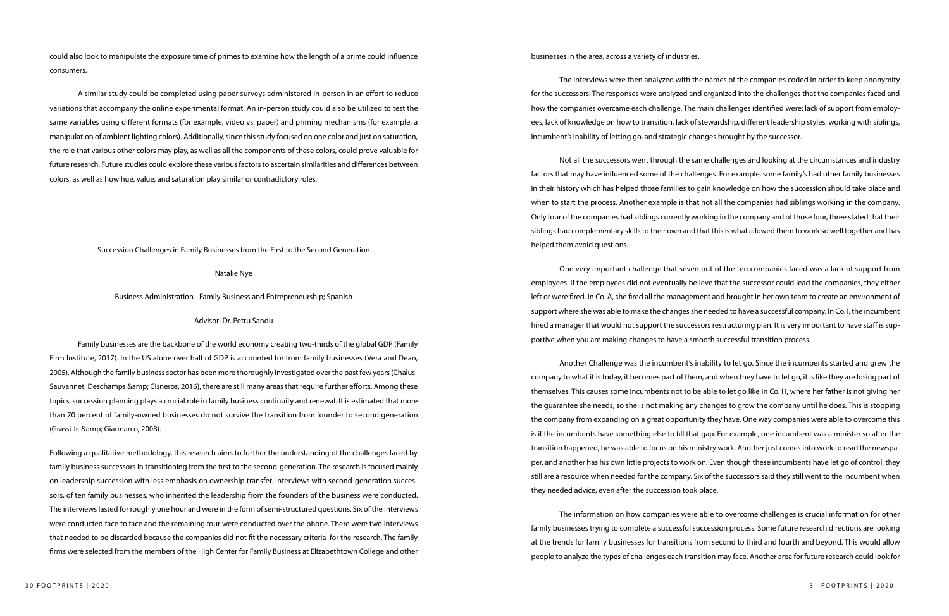could also look to manipulate the exposure time of primes to examine how the length of a prime could influence consumers.

Family businesses are the backbone of the world economy creating two-thirds of the global GDP (Family Firm Institute, 2017). In the US alone over half of GDP is accounted for from family businesses (Vera and Dean, 2005). Although the family business sector has been more thoroughly investigated over the past few years (Chalus-Sauvannet, Deschamps & amp; Cisneros, 2016), there are still many areas that require further efforts. Among these topics, succession planning plays a crucial role in family business continuity and renewal. It is estimated that more than 70 percent of family-owned businesses do not survive the transition from founder to second generation (Grassi Jr. & amp; Giarmarco, 2008).

A similar study could be completed using paper surveys administered in-person in an effort to reduce variations that accompany the online experimental format. An in-person study could also be utilized to test the same variables using different formats (for example, video vs. paper) and priming mechanisms (for example, a manipulation of ambient lighting colors). Additionally, since this study focused on one color and just on saturation, the role that various other colors may play, as well as all the components of these colors, could prove valuable for future research. Future studies could explore these various factors to ascertain similarities and differences between colors, as well as how hue, value, and saturation play similar or contradictory roles.

Succession Challenges in Family Businesses from the First to the Second Generation

#### Natalie Nye

Business Administration - Family Business and Entrepreneurship; Spanish

#### Advisor: Dr. Petru Sandu

Following a qualitative methodology, this research aims to further the understanding of the challenges faced by family business successors in transitioning from the first to the second-generation. The research is focused mainly on leadership succession with less emphasis on ownership transfer. Interviews with second-generation successors, of ten family businesses, who inherited the leadership from the founders of the business were conducted. The interviews lasted for roughly one hour and were in the form of semi-structured questions. Six of the interviews were conducted face to face and the remaining four were conducted over the phone. There were two interviews that needed to be discarded because the companies did not fit the necessary criteria for the research. The family firms were selected from the members of the High Center for Family Business at Elizabethtown College and other

businesses in the area, across a variety of industries.

The interviews were then analyzed with the names of the companies coded in order to keep anonymity for the successors. The responses were analyzed and organized into the challenges that the companies faced and how the companies overcame each challenge. The main challenges identified were: lack of support from employees, lack of knowledge on how to transition, lack of stewardship, different leadership styles, working with siblings, incumbent's inability of letting go, and strategic changes brought by the successor.

Not all the successors went through the same challenges and looking at the circumstances and industry factors that may have influenced some of the challenges. For example, some family's had other family businesses in their history which has helped those families to gain knowledge on how the succession should take place and when to start the process. Another example is that not all the companies had siblings working in the company. Only four of the companies had siblings currently working in the company and of those four, three stated that their siblings had complementary skills to their own and that this is what allowed them to work so well together and has helped them avoid questions.

One very important challenge that seven out of the ten companies faced was a lack of support from employees. If the employees did not eventually believe that the successor could lead the companies, they either left or were fired. In Co. A, she fired all the management and brought in her own team to create an environment of support where she was able to make the changes she needed to have a successful company. In Co. I, the incumbent hired a manager that would not support the successors restructuring plan. It is very important to have staff is supportive when you are making changes to have a smooth successful transition process.

Another Challenge was the incumbent's inability to let go. Since the incumbents started and grew the company to what it is today, it becomes part of them, and when they have to let go, it is like they are losing part of themselves. This causes some incumbents not to be able to let go like in Co. H, where her father is not giving her the guarantee she needs, so she is not making any changes to grow the company until he does. This is stopping the company from expanding on a great opportunity they have. One way companies were able to overcome this is if the incumbents have something else to fill that gap. For example, one incumbent was a minister so after the transition happened, he was able to focus on his ministry work. Another just comes into work to read the newspaper, and another has his own little projects to work on. Even though these incumbents have let go of control, they still are a resource when needed for the company. Six of the successors said they still went to the incumbent when they needed advice, even after the succession took place.

The information on how companies were able to overcome challenges is crucial information for other family businesses trying to complete a successful succession process. Some future research directions are looking at the trends for family businesses for transitions from second to third and fourth and beyond. This would allow people to analyze the types of challenges each transition may face. Another area for future research could look for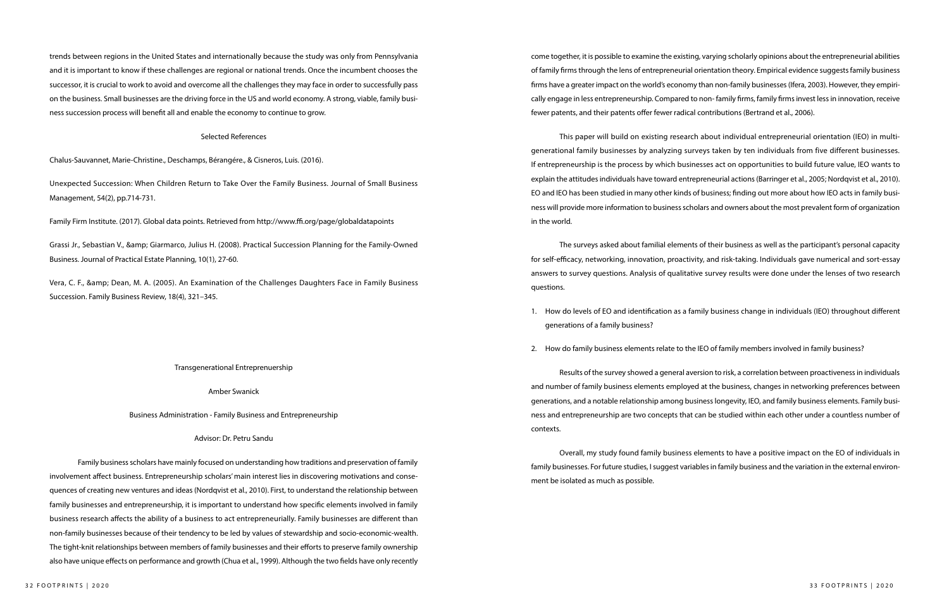trends between regions in the United States and internationally because the study was only from Pennsylvania and it is important to know if these challenges are regional or national trends. Once the incumbent chooses the successor, it is crucial to work to avoid and overcome all the challenges they may face in order to successfully pass on the business. Small businesses are the driving force in the US and world economy. A strong, viable, family business succession process will benefit all and enable the economy to continue to grow.

Grassi Jr., Sebastian V., & amp; Giarmarco, Julius H. (2008). Practical Succession Planning for the Family-Owned Business. Journal of Practical Estate Planning, 10(1), 27-60.

#### Selected References

Vera, C. F., & amp; Dean, M. A. (2005). An Examination of the Challenges Daughters Face in Family Business Succession. Family Business Review, 18(4), 321–345.

Chalus-Sauvannet, Marie-Christine., Deschamps, Bérangére., & Cisneros, Luis. (2016).

Unexpected Succession: When Children Return to Take Over the Family Business. Journal of Small Business Management, 54(2), pp.714-731.

Family Firm Institute. (2017). Global data points. Retrieved from http://www.ffi.org/page/globaldatapoints

#### Transgenerational Entreprenuership

#### Amber Swanick

Business Administration - Family Business and Entrepreneurship

#### Advisor: Dr. Petru Sandu

Family business scholars have mainly focused on understanding how traditions and preservation of family involvement affect business. Entrepreneurship scholars' main interest lies in discovering motivations and consequences of creating new ventures and ideas (Nordqvist et al., 2010). First, to understand the relationship between family businesses and entrepreneurship, it is important to understand how specific elements involved in family business research affects the ability of a business to act entrepreneurially. Family businesses are different than non-family businesses because of their tendency to be led by values of stewardship and socio-economic-wealth. The tight-knit relationships between members of family businesses and their efforts to preserve family ownership also have unique effects on performance and growth (Chua et al., 1999). Although the two fields have only recently

come together, it is possible to examine the existing, varying scholarly opinions about the entrepreneurial abilities of family firms through the lens of entrepreneurial orientation theory. Empirical evidence suggests family business firms have a greater impact on the world's economy than non-family businesses (Ifera, 2003). However, they empirically engage in less entrepreneurship. Compared to non- family firms, family firms invest less in innovation, receive fewer patents, and their patents offer fewer radical contributions (Bertrand et al., 2006).

This paper will build on existing research about individual entrepreneurial orientation (IEO) in multigenerational family businesses by analyzing surveys taken by ten individuals from five different businesses. If entrepreneurship is the process by which businesses act on opportunities to build future value, IEO wants to explain the attitudes individuals have toward entrepreneurial actions (Barringer et al., 2005; Nordqvist et al., 2010). EO and IEO has been studied in many other kinds of business; finding out more about how IEO acts in family business will provide more information to business scholars and owners about the most prevalent form of organization in the world.

The surveys asked about familial elements of their business as well as the participant's personal capacity for self-efficacy, networking, innovation, proactivity, and risk-taking. Individuals gave numerical and sort-essay answers to survey questions. Analysis of qualitative survey results were done under the lenses of two research questions.

1. How do levels of EO and identification as a family business change in individuals (IEO) throughout different

- generations of a family business?
- 

2. How do family business elements relate to the IEO of family members involved in family business?

Results of the survey showed a general aversion to risk, a correlation between proactiveness in individuals and number of family business elements employed at the business, changes in networking preferences between generations, and a notable relationship among business longevity, IEO, and family business elements. Family business and entrepreneurship are two concepts that can be studied within each other under a countless number of contexts.

Overall, my study found family business elements to have a positive impact on the EO of individuals in family businesses. For future studies, I suggest variables in family business and the variation in the external environment be isolated as much as possible.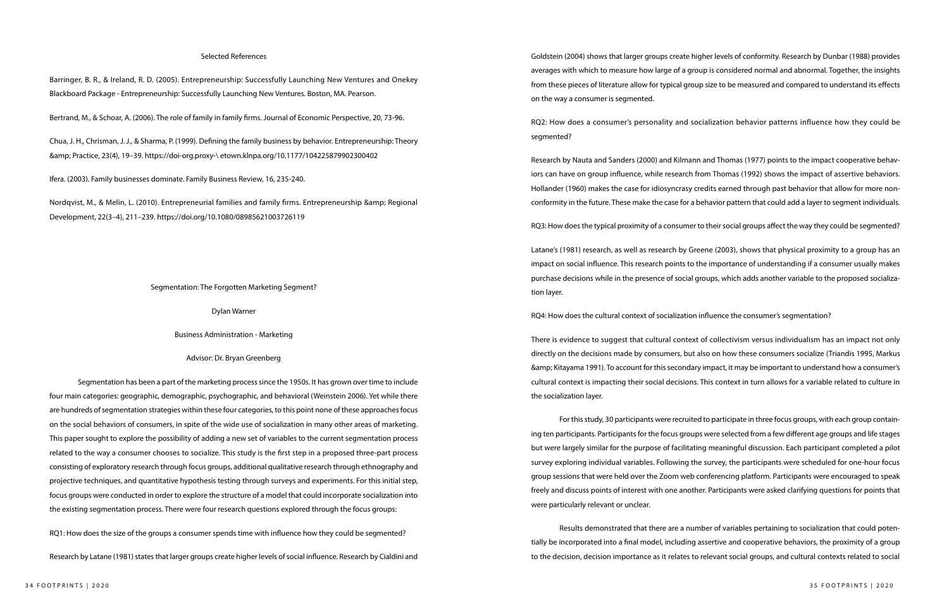#### Selected References

Barringer, B. R., & Ireland, R. D. (2005). Entrepreneurship: Successfully Launching New Ventures and Onekey Blackboard Package - Entrepreneurship: Successfully Launching New Ventures. Boston, MA. Pearson.

Bertrand, M., & Schoar, A. (2006). The role of family in family firms. Journal of Economic Perspective, 20, 73-96.

Nordqvist, M., & Melin, L. (2010). Entrepreneurial families and family firms. Entrepreneurship & amp; Regional Development, 22(3–4), 211–239. https://doi.org/10.1080/08985621003726119

Chua, J. H., Chrisman, J. J., & Sharma, P. (1999). Defining the family business by behavior. Entrepreneurship: Theory & Practice, 23(4), 19–39. https://doi-org.proxy-\ etown.klnpa.org/10.1177/104225879902300402

Ifera. (2003). Family businesses dominate. Family Business Review, 16, 235-240.

#### Segmentation: The Forgotten Marketing Segment?

Dylan Warner

Business Administration - Marketing

Advisor: Dr. Bryan Greenberg

Segmentation has been a part of the marketing process since the 1950s. It has grown over time to include four main categories: geographic, demographic, psychographic, and behavioral (Weinstein 2006). Yet while there are hundreds of segmentation strategies within these four categories, to this point none of these approaches focus on the social behaviors of consumers, in spite of the wide use of socialization in many other areas of marketing. This paper sought to explore the possibility of adding a new set of variables to the current segmentation process related to the way a consumer chooses to socialize. This study is the first step in a proposed three-part process consisting of exploratory research through focus groups, additional qualitative research through ethnography and projective techniques, and quantitative hypothesis testing through surveys and experiments. For this initial step, focus groups were conducted in order to explore the structure of a model that could incorporate socialization into the existing segmentation process. There were four research questions explored through the focus groups:

RQ1: How does the size of the groups a consumer spends time with influence how they could be segmented?

Research by Latane (1981) states that larger groups create higher levels of social influence. Research by Cialdini and

Goldstein (2004) shows that larger groups create higher levels of conformity. Research by Dunbar (1988) provides averages with which to measure how large of a group is considered normal and abnormal. Together, the insights from these pieces of literature allow for typical group size to be measured and compared to understand its effects

RQ2: How does a consumer's personality and socialization behavior patterns influence how they could be segmented?

Research by Nauta and Sanders (2000) and Kilmann and Thomas (1977) points to the impact cooperative behaviors can have on group influence, while research from Thomas (1992) shows the impact of assertive behaviors. Hollander (1960) makes the case for idiosyncrasy credits earned through past behavior that allow for more nonconformity in the future. These make the case for a behavior pattern that could add a layer to segment individuals.

RQ3: How does the typical proximity of a consumer to their social groups affect the way they could be segmented?

Latane's (1981) research, as well as research by Greene (2003), shows that physical proximity to a group has an impact on social influence. This research points to the importance of understanding if a consumer usually makes purchase decisions while in the presence of social groups, which adds another variable to the proposed socialization layer.

RQ4: How does the cultural context of socialization influence the consumer's segmentation?

There is evidence to suggest that cultural context of collectivism versus individualism has an impact not only directly on the decisions made by consumers, but also on how these consumers socialize (Triandis 1995, Markus & Kitayama 1991). To account for this secondary impact, it may be important to understand how a consumer's cultural context is impacting their social decisions. This context in turn allows for a variable related to culture in the socialization layer.

For this study, 30 participants were recruited to participate in three focus groups, with each group containing ten participants. Participants for the focus groups were selected from a few different age groups and life stages but were largely similar for the purpose of facilitating meaningful discussion. Each participant completed a pilot survey exploring individual variables. Following the survey, the participants were scheduled for one-hour focus group sessions that were held over the Zoom web conferencing platform. Participants were encouraged to speak freely and discuss points of interest with one another. Participants were asked clarifying questions for points that were particularly relevant or unclear.

Results demonstrated that there are a number of variables pertaining to socialization that could potentially be incorporated into a final model, including assertive and cooperative behaviors, the proximity of a group to the decision, decision importance as it relates to relevant social groups, and cultural contexts related to social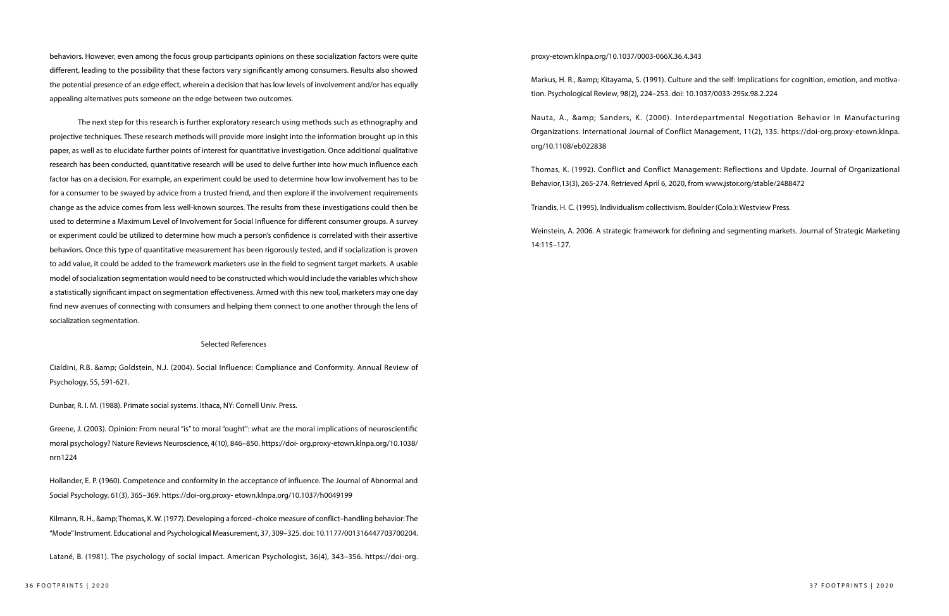behaviors. However, even among the focus group participants opinions on these socialization factors were quite different, leading to the possibility that these factors vary significantly among consumers. Results also showed the potential presence of an edge effect, wherein a decision that has low levels of involvement and/or has equally appealing alternatives puts someone on the edge between two outcomes.

The next step for this research is further exploratory research using methods such as ethnography and projective techniques. These research methods will provide more insight into the information brought up in this paper, as well as to elucidate further points of interest for quantitative investigation. Once additional qualitative research has been conducted, quantitative research will be used to delve further into how much influence each factor has on a decision. For example, an experiment could be used to determine how low involvement has to be for a consumer to be swayed by advice from a trusted friend, and then explore if the involvement requirements change as the advice comes from less well-known sources. The results from these investigations could then be used to determine a Maximum Level of Involvement for Social Influence for different consumer groups. A survey or experiment could be utilized to determine how much a person's confidence is correlated with their assertive behaviors. Once this type of quantitative measurement has been rigorously tested, and if socialization is proven to add value, it could be added to the framework marketers use in the field to segment target markets. A usable model of socialization segmentation would need to be constructed which would include the variables which show a statistically significant impact on segmentation effectiveness. Armed with this new tool, marketers may one day find new avenues of connecting with consumers and helping them connect to one another through the lens of socialization segmentation.

Kilmann, R. H., & amp; Thomas, K. W. (1977). Developing a forced–choice measure of conflict–handling behavior: The "Mode" Instrument. Educational and Psychological Measurement, 37, 309–325. doi: 10.1177/001316447703700204. Markus, H. R., & amp; Kitayama, S. (1991). Culture and the self: Implications for cognition, emotion, and motivation. Psychological Review, 98(2), 224–253. doi: 10.1037/0033-295x.98.2.224

Nauta, A., & amp; Sanders, K. (2000). Interdepartmental Negotiation Behavior in Manufacturing Organizations. International Journal of Conflict Management, 11(2), 135. https://doi-org.proxy-etown.klnpa. org/10.1108/eb022838

#### Selected References

Cialdini, R.B. & Goldstein, N.J. (2004). Social Influence: Compliance and Conformity. Annual Review of Psychology, 55, 591-621.

Dunbar, R. I. M. (1988). Primate social systems. Ithaca, NY: Cornell Univ. Press.

Greene, J. (2003). Opinion: From neural "is" to moral "ought": what are the moral implications of neuroscientific moral psychology? Nature Reviews Neuroscience, 4(10), 846–850. https://doi- org.proxy-etown.klnpa.org/10.1038/ nrn1224

Hollander, E. P. (1960). Competence and conformity in the acceptance of influence. The Journal of Abnormal and Social Psychology, 61(3), 365–369. https://doi-org.proxy- etown.klnpa.org/10.1037/h0049199

Latané, B. (1981). The psychology of social impact. American Psychologist, 36(4), 343–356. https://doi-org.

#### proxy-etown.klnpa.org/10.1037/0003-066X.36.4.343

Thomas, K. (1992). Conflict and Conflict Management: Reflections and Update. Journal of Organizational Behavior,13(3), 265-274. Retrieved April 6, 2020, from www.jstor.org/stable/2488472

Triandis, H. C. (1995). Individualism collectivism. Boulder (Colo.): Westview Press.

Weinstein, A. 2006. A strategic framework for defining and segmenting markets. Journal of Strategic Marketing 14:115–127.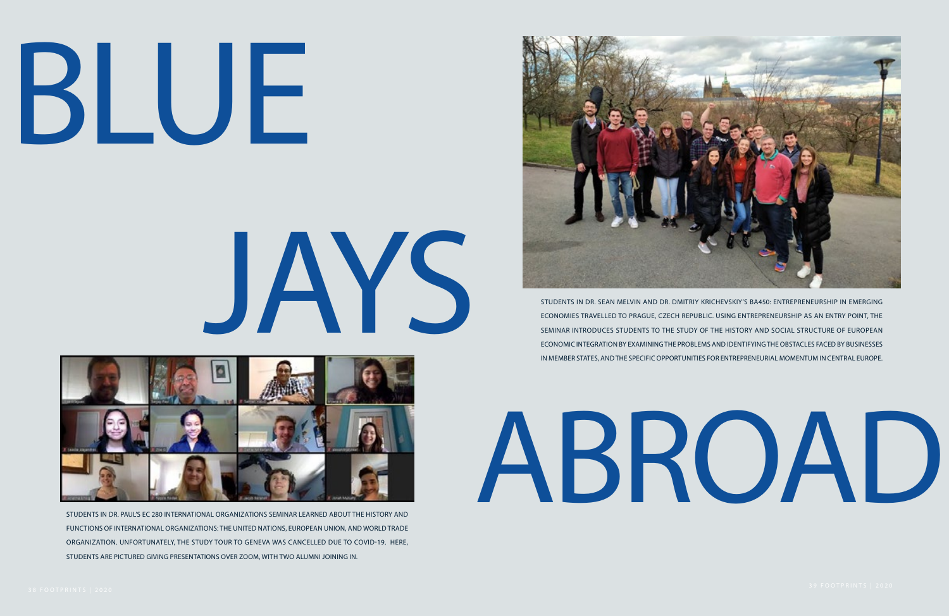# BLUE



JAYS

STUDENTS IN DR. PAUL'S EC 280 INTERNATIONAL ORGANIZATIONS SEMINAR LEARNED ABOUT THE HISTORY AND FUNCTIONS OF INTERNATIONAL ORGANIZATIONS: THE UNITED NATIONS, EUROPEAN UNION, AND WORLD TRADE ORGANIZATION. UNFORTUNATELY, THE STUDY TOUR TO GENEVA WAS CANCELLED DUE TO COVID-19. HERE, STUDENTS ARE PICTURED GIVING PRESENTATIONS OVER ZOOM, WITH TWO ALUMNI JOINING IN.



ABROAD



STUDENTS IN DR. SEAN MELVIN AND DR. DMITRIY KRICHEVSKIY'S BA450: ENTREPRENEURSHIP IN EMERGING ECONOMIES TRAVELLED TO PRAGUE, CZECH REPUBLIC. USING ENTREPRENEURSHIP AS AN ENTRY POINT, THE SEMINAR INTRODUCES STUDENTS TO THE STUDY OF THE HISTORY AND SOCIAL STRUCTURE OF EUROPEAN ECONOMIC INTEGRATION BY EXAMINING THE PROBLEMS AND IDENTIFYING THE OBSTACLES FACED BY BUSINESSES IN MEMBER STATES, AND THE SPECIFIC OPPORTUNITIES FOR ENTREPRENEURIAL MOMENTUM IN CENTRAL EUROPE.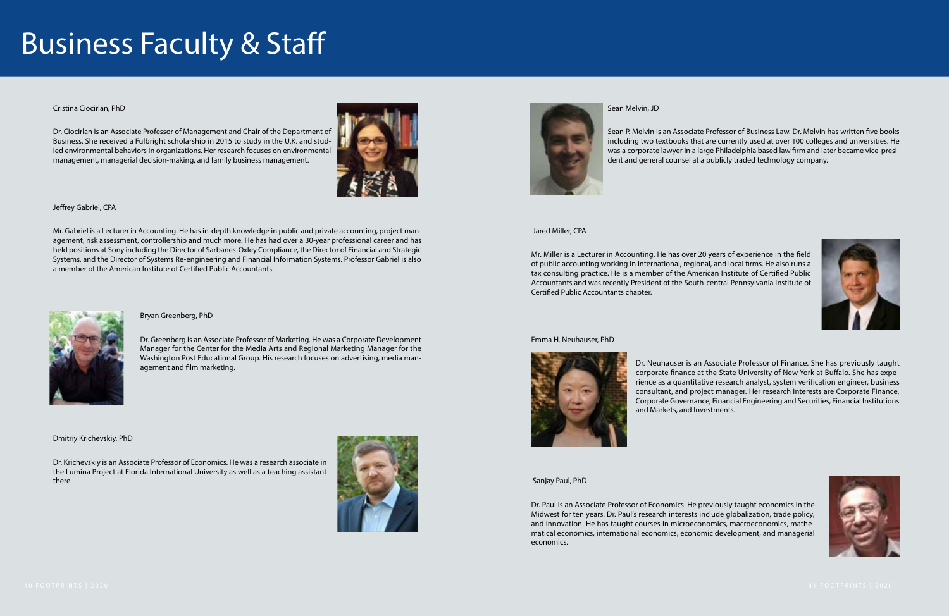#### Business Faculty & Staff

#### Cristina Ciocirlan, PhD

Dr. Ciocirlan is an Associate Professor of Management and Chair of the Department of Business. She received a Fulbright scholarship in 2015 to study in the U.K. and studied environmental behaviors in organizations. Her research focuses on environmental management, managerial decision-making, and family business management.



#### Jeffrey Gabriel, CPA

Mr. Gabriel is a Lecturer in Accounting. He has in-depth knowledge in public and private accounting, project management, risk assessment, controllership and much more. He has had over a 30-year professional career and has held positions at Sony including the Director of Sarbanes-Oxley Compliance, the Director of Financial and Strategic Systems, and the Director of Systems Re-engineering and Financial Information Systems. Professor Gabriel is also a member of the American Institute of Certified Public Accountants.



#### Bryan Greenberg, PhD

Dr. Greenberg is an Associate Professor of Marketing. He was a Corporate Development Manager for the Center for the Media Arts and Regional Marketing Manager for the Washington Post Educational Group. His research focuses on advertising, media management and film marketing.

Dmitriy Krichevskiy, PhD

Dr. Krichevskiy is an Associate Professor of Economics. He was a research associate in the Lumina Project at Florida International University as well as a teaching assistant there.





Sean Melvin, JD

Sean P. Melvin is an Associate Professor of Business Law. Dr. Melvin has written five books including two textbooks that are currently used at over 100 colleges and universities. He was a corporate lawyer in a large Philadelphia based law firm and later became vice-president and general counsel at a publicly traded technology company.

Jared Miller, CPA

Mr. Miller is a Lecturer in Accounting. He has over 20 years of experience in the field of public accounting working in international, regional, and local firms. He also runs a tax consulting practice. He is a member of the American Institute of Certified Public Accountants and was recently President of the South-central Pennsylvania Institute of Certified Public Accountants chapter.

#### Emma H. Neuhauser, PhD



Dr. Neuhauser is an Associate Professor of Finance. She has previously taught corporate finance at the State University of New York at Buffalo. She has experience as a quantitative research analyst, system verification engineer, business consultant, and project manager. Her research interests are Corporate Finance, Corporate Governance, Financial Engineering and Securities, Financial Institutions and Markets, and Investments.

Sanjay Paul, PhD

Dr. Paul is an Associate Professor of Economics. He previously taught economics in the Midwest for ten years. Dr. Paul's research interests include globalization, trade policy, and innovation. He has taught courses in microeconomics, macroeconomics, mathematical economics, international economics, economic development, and managerial economics.



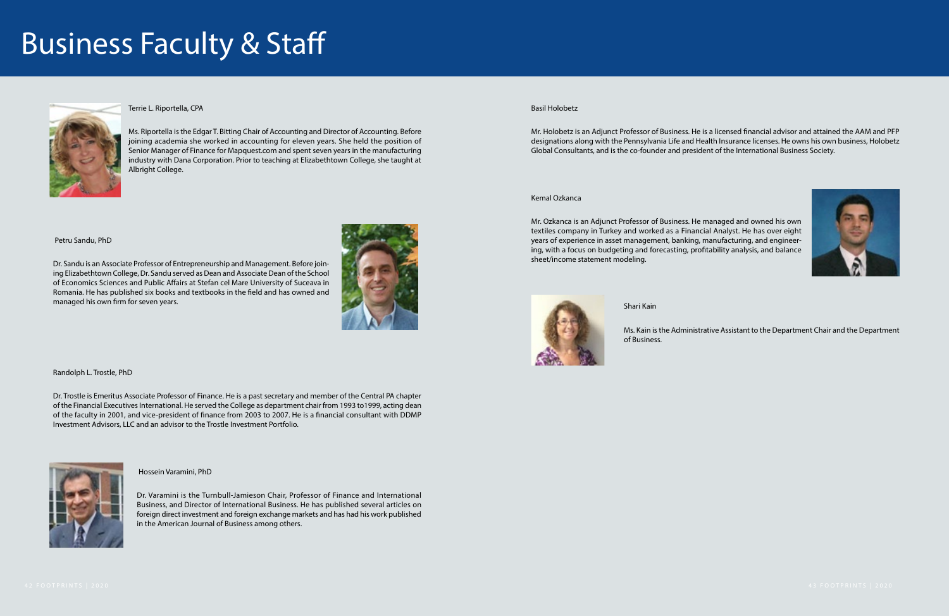#### Business Faculty & Staff



#### Terrie L. Riportella, CPA

Ms. Riportella is the Edgar T. Bitting Chair of Accounting and Director of Accounting. Before joining academia she worked in accounting for eleven years. She held the position of Senior Manager of Finance for Mapquest.com and spent seven years in the manufacturing industry with Dana Corporation. Prior to teaching at Elizabethtown College, she taught at Albright College.

Petru Sandu, PhD

Dr. Sandu is an Associate Professor of Entrepreneurship and Management. Before joining Elizabethtown College, Dr. Sandu served as Dean and Associate Dean of the School of Economics Sciences and Public Affairs at Stefan cel Mare University of Suceava in Romania. He has published six books and textbooks in the field and has owned and managed his own firm for seven years.



Randolph L. Trostle, PhD

Dr. Trostle is Emeritus Associate Professor of Finance. He is a past secretary and member of the Central PA chapter of the Financial Executives International. He served the College as department chair from 1993 to1999, acting dean of the faculty in 2001, and vice-president of finance from 2003 to 2007. He is a financial consultant with DDMP Investment Advisors, LLC and an advisor to the Trostle Investment Portfolio.



Hossein Varamini, PhD

Dr. Varamini is the Turnbull-Jamieson Chair, Professor of Finance and International Business, and Director of International Business. He has published several articles on foreign direct investment and foreign exchange markets and has had his work published in the American Journal of Business among others.

#### Basil Holobetz

Mr. Holobetz is an Adjunct Professor of Business. He is a licensed financial advisor and attained the AAM and PFP designations along with the Pennsylvania Life and Health Insurance licenses. He owns his own business, Holobetz Global Consultants, and is the co-founder and president of the International Business Society.

#### Kemal Ozkanca

Mr. Ozkanca is an Adjunct Professor of Business. He managed and owned his own textiles company in Turkey and worked as a Financial Analyst. He has over eight years of experience in asset management, banking, manufacturing, and engineering, with a focus on budgeting and forecasting, profitability analysis, and balance sheet/income statement modeling.



Shari Kain

Ms. Kain is the Administrative Assistant to the Department Chair and the Department

of Business.

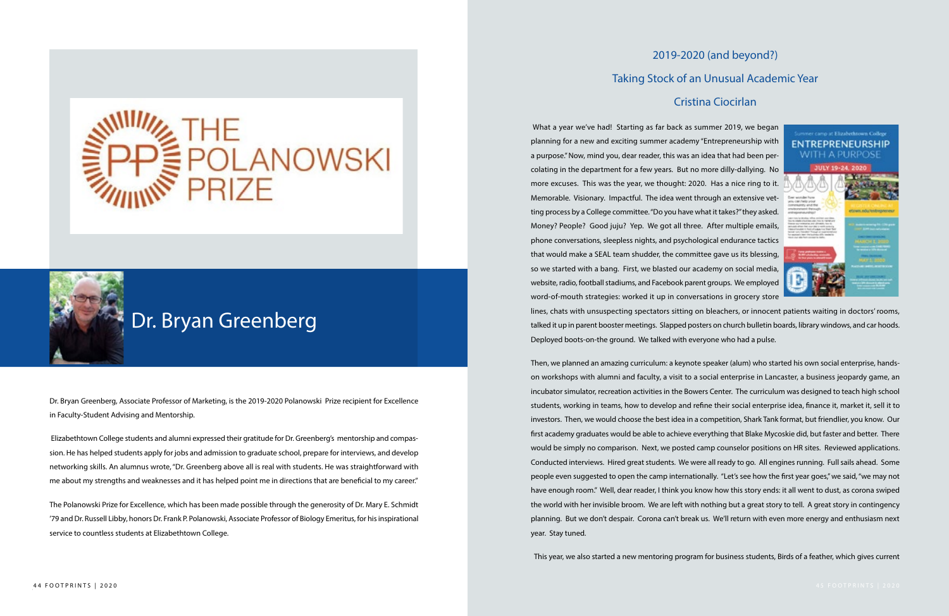Dr. Bryan Greenberg, Associate Professor of Marketing, is the 2019-2020 Polanowski Prize recipient for Excellence in Faculty-Student Advising and Mentorship.

 Elizabethtown College students and alumni expressed their gratitude for Dr. Greenberg's mentorship and compassion. He has helped students apply for jobs and admission to graduate school, prepare for interviews, and develop networking skills. An alumnus wrote, "Dr. Greenberg above all is real with students. He was straightforward with me about my strengths and weaknesses and it has helped point me in directions that are beneficial to my career."

The Polanowski Prize for Excellence, which has been made possible through the generosity of Dr. Mary E. Schmidt '79 and Dr. Russell Libby, honors Dr. Frank P. Polanowski, Associate Professor of Biology Emeritus, for his inspirational service to countless students at Elizabethtown College.



#### Dr. Bryan Greenberg

#### 2019-2020 (and beyond?) Taking Stock of an Unusual Academic Year Cristina Ciocirlan

 What a year we've had! Starting as far back as summer 2019, we began planning for a new and exciting summer academy "Entrepreneurship with **ENTREPRENEURSHIP** a purpose." Now, mind you, dear reader, this was an idea that had been per-JULY 19-24, 2020 colating in the department for a few years. But no more dilly-dallying. No more excuses. This was the year, we thought: 2020. Has a nice ring to it. Memorable. Visionary. Impactful. The idea went through an extensive vetting process by a College committee. "Do you have what it takes?" they asked. Money? People? Good juju? Yep. We got all three. After multiple emails, phone conversations, sleepless nights, and psychological endurance tactics that would make a SEAL team shudder, the committee gave us its blessing, so we started with a bang. First, we blasted our academy on social media, website, radio, football stadiums, and Facebook parent groups. We employed word-of-mouth strategies: worked it up in conversations in grocery store lines, chats with unsuspecting spectators sitting on bleachers, or innocent patients waiting in doctors' rooms, talked it up in parent booster meetings. Slapped posters on church bulletin boards, library windows, and car hoods. Deployed boots-on-the ground. We talked with everyone who had a pulse.

Then, we planned an amazing curriculum: a keynote speaker (alum) who started his own social enterprise, handson workshops with alumni and faculty, a visit to a social enterprise in Lancaster, a business jeopardy game, an incubator simulator, recreation activities in the Bowers Center. The curriculum was designed to teach high school students, working in teams, how to develop and refine their social enterprise idea, finance it, market it, sell it to investors. Then, we would choose the best idea in a competition, Shark Tank format, but friendlier, you know. Our first academy graduates would be able to achieve everything that Blake Mycoskie did, but faster and better. There would be simply no comparison. Next, we posted camp counselor positions on HR sites. Reviewed applications. Conducted interviews. Hired great students. We were all ready to go. All engines running. Full sails ahead. Some people even suggested to open the camp internationally. "Let's see how the first year goes," we said, "we may not have enough room." Well, dear reader, I think you know how this story ends: it all went to dust, as corona swiped the world with her invisible broom. We are left with nothing but a great story to tell. A great story in contingency planning. But we don't despair. Corona can't break us. We'll return with even more energy and enthusiasm next year. Stay tuned.

This year, we also started a new mentoring program for business students, Birds of a feather, which gives current



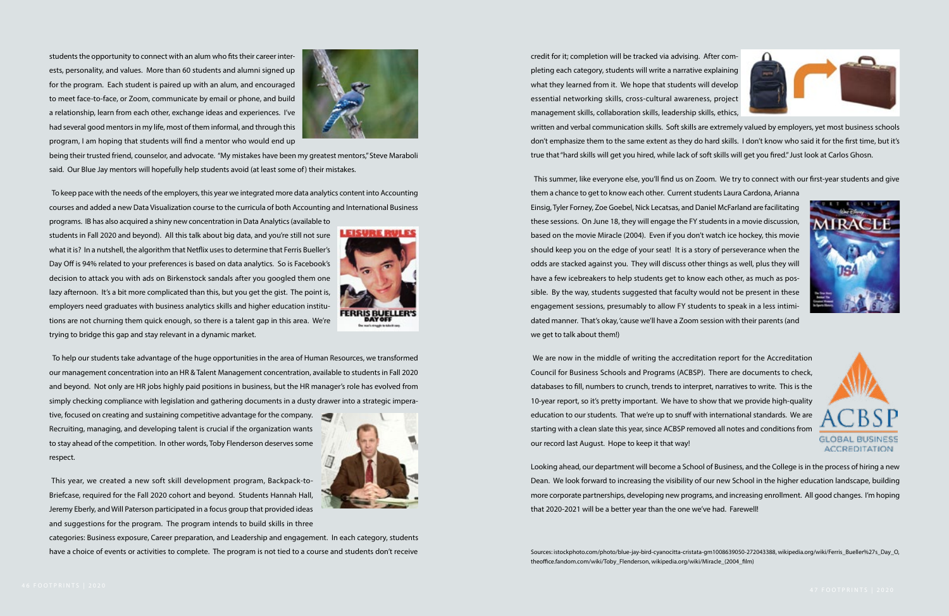students the opportunity to connect with an alum who fits their career interests, personality, and values. More than 60 students and alumni signed up for the program. Each student is paired up with an alum, and encouraged to meet face-to-face, or Zoom, communicate by email or phone, and build a relationship, learn from each other, exchange ideas and experiences. I've had several good mentors in my life, most of them informal, and through this program, I am hoping that students will find a mentor who would end up



being their trusted friend, counselor, and advocate. "My mistakes have been my greatest mentors," Steve Maraboli said. Our Blue Jay mentors will hopefully help students avoid (at least some of) their mistakes.

 To keep pace with the needs of the employers, this year we integrated more data analytics content into Accounting courses and added a new Data Visualization course to the curricula of both Accounting and International Business

programs. IB has also acquired a shiny new concentration in Data Analytics (available to students in Fall 2020 and beyond). All this talk about big data, and you're still not sure what it is? In a nutshell, the algorithm that Netflix uses to determine that Ferris Bueller's Day Off is 94% related to your preferences is based on data analytics. So is Facebook's decision to attack you with ads on Birkenstock sandals after you googled them one lazy afternoon. It's a bit more complicated than this, but you get the gist. The point is, employers need graduates with business analytics skills and higher education institutions are not churning them quick enough, so there is a talent gap in this area. We're trying to bridge this gap and stay relevant in a dynamic market.



 To help our students take advantage of the huge opportunities in the area of Human Resources, we transformed our management concentration into an HR & Talent Management concentration, available to students in Fall 2020 and beyond. Not only are HR jobs highly paid positions in business, but the HR manager's role has evolved from simply checking compliance with legislation and gathering documents in a dusty drawer into a strategic impera-

tive, focused on creating and sustaining competitive advantage for the company. Recruiting, managing, and developing talent is crucial if the organization wants to stay ahead of the competition. In other words, Toby Flenderson deserves some respect.



 This year, we created a new soft skill development program, Backpack-to-Briefcase, required for the Fall 2020 cohort and beyond. Students Hannah Hall, Jeremy Eberly, and Will Paterson participated in a focus group that provided ideas and suggestions for the program. The program intends to build skills in three

categories: Business exposure, Career preparation, and Leadership and engagement. In each category, students have a choice of events or activities to complete. The program is not tied to a course and students don't receive

credit for it; completion will be tracked via advising. After completing each category, students will write a narrative explaining what they learned from it. We hope that students will develop essential networking skills, cross-cultural awareness, project management skills, collaboration skills, leadership skills, ethics, written and verbal communication skills. Soft skills are extremely valued by employers, yet most business schools don't emphasize them to the same extent as they do hard skills. I don't know who said it for the first time, but it's true that "hard skills will get you hired, while lack of soft skills will get you fired." Just look at Carlos Ghosn.

 This summer, like everyone else, you'll find us on Zoom. We try to connect with our first-year students and give them a chance to get to know each other. Current students Laura Cardona, Arianna Einsig, Tyler Forney, Zoe Goebel, Nick Lecatsas, and Daniel McFarland are facilitating these sessions. On June 18, they will engage the FY students in a movie discussion, based on the movie Miracle (2004). Even if you don't watch ice hockey, this movie should keep you on the edge of your seat! It is a story of perseverance when the odds are stacked against you. They will discuss other things as well, plus they will have a few icebreakers to help students get to know each other, as much as possible. By the way, students suggested that faculty would not be present in these engagement sessions, presumably to allow FY students to speak in a less intimidated manner. That's okay, 'cause we'll have a Zoom session with their parents (and we get to talk about them!)

 We are now in the middle of writing the accreditation report for the Accreditation Council for Business Schools and Programs (ACBSP). There are documents to check, databases to fill, numbers to crunch, trends to interpret, narratives to write. This is the 10-year report, so it's pretty important. We have to show that we provide high-quality education to our students. That we're up to snuff with international standards. We are starting with a clean slate this year, since ACBSP removed all notes and conditions from our record last August. Hope to keep it that way!

Looking ahead, our department will become a School of Business, and the College is in the process of hiring a new Dean. We look forward to increasing the visibility of our new School in the higher education landscape, building more corporate partnerships, developing new programs, and increasing enrollment. All good changes. I'm hoping that 2020-2021 will be a better year than the one we've had. Farewell!

Sources: istockphoto.com/photo/blue-jay-bird-cyanocitta-cristata-gm1008639050-272043388, wikipedia.org/wiki/Ferris\_Bueller%27s\_Day\_O, theoffice.fandom.com/wiki/Toby\_Flenderson, wikipedia.org/wiki/Miracle\_(2004\_film)